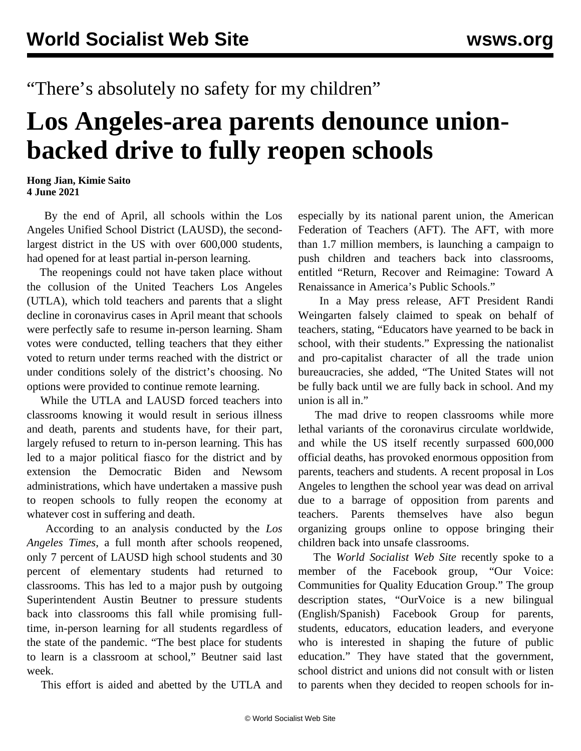"There's absolutely no safety for my children"

## **Los Angeles-area parents denounce unionbacked drive to fully reopen schools**

**Hong Jian, Kimie Saito 4 June 2021**

 By the end of April, all schools within the Los Angeles Unified School District (LAUSD), the secondlargest district in the US with over 600,000 students, had opened for at least partial in-person learning.

 The reopenings could not have taken place without the collusion of the United Teachers Los Angeles (UTLA), which told teachers and parents that a slight decline in coronavirus cases in April meant that schools were perfectly safe to resume in-person learning. Sham votes were conducted, telling teachers that they either voted to return under terms reached with the district or under conditions solely of the district's choosing. No options were provided to continue remote learning.

 While the UTLA and LAUSD forced teachers into classrooms knowing it would result in serious illness and death, parents and students have, for their part, largely refused to return to in-person learning. This has led to a major political fiasco for the district and by extension the Democratic Biden and Newsom administrations, which have undertaken a massive push to reopen schools to fully reopen the economy at whatever cost in suffering and death.

 According to an analysis conducted by the *Los Angeles Times*, a full month after schools reopened, only 7 percent of LAUSD high school students and 30 percent of elementary students had returned to classrooms. This has led to a major push by outgoing Superintendent Austin Beutner to pressure students back into classrooms this fall while promising fulltime, in-person learning for all students regardless of the state of the pandemic. "The best place for students to learn is a classroom at school," Beutner said last week.

This effort is aided and abetted by the UTLA and

especially by its national parent union, the American Federation of Teachers (AFT). The AFT, with more than 1.7 million members, is launching a campaign to push children and teachers back into classrooms, entitled "Return, Recover and Reimagine: Toward A Renaissance in America's Public Schools."

 In a May press release, AFT President Randi Weingarten falsely claimed to speak on behalf of teachers, stating, "Educators have yearned to be back in school, with their students." Expressing the nationalist and pro-capitalist character of all the trade union bureaucracies, she added, "The United States will not be fully back until we are fully back in school. And my union is all in."

 The mad drive to reopen classrooms while more lethal variants of the coronavirus circulate worldwide, and while the US itself recently surpassed 600,000 official deaths, has provoked enormous opposition from parents, teachers and students. A recent proposal in Los Angeles to lengthen the school year was dead on arrival due to a barrage of opposition from parents and teachers. Parents themselves have also begun organizing groups online to oppose bringing their children back into unsafe classrooms.

 The *World Socialist Web Site* recently spoke to a member of the Facebook group, "Our Voice: Communities for Quality Education Group." The group description states, "OurVoice is a new bilingual (English/Spanish) Facebook Group for parents, students, educators, education leaders, and everyone who is interested in shaping the future of public education." They have stated that the government, school district and unions did not consult with or listen to parents when they decided to reopen schools for in